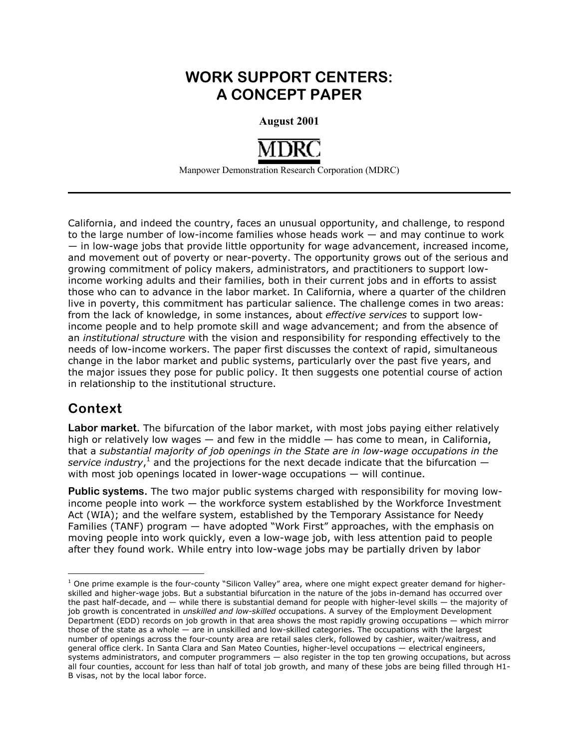## **WORK SUPPORT CENTERS: A CONCEPT PAPER**

**August 2001** 



Manpower Demonstration Research Corporation (MDRC)

California, and indeed the country, faces an unusual opportunity, and challenge, to respond to the large number of low-income families whose heads work — and may continue to work — in low-wage jobs that provide little opportunity for wage advancement, increased income, and movement out of poverty or near-poverty. The opportunity grows out of the serious and growing commitment of policy makers, administrators, and practitioners to support lowincome working adults and their families, both in their current jobs and in efforts to assist those who can to advance in the labor market. In California, where a quarter of the children live in poverty, this commitment has particular salience. The challenge comes in two areas: from the lack of knowledge, in some instances, about *effective services* to support lowincome people and to help promote skill and wage advancement; and from the absence of an *institutional structure* with the vision and responsibility for responding effectively to the needs of low-income workers. The paper first discusses the context of rapid, simultaneous change in the labor market and public systems, particularly over the past five years, and the major issues they pose for public policy. It then suggests one potential course of action in relationship to the institutional structure.

## **Context**

 $\overline{a}$ 

**Labor market.** The bifurcation of the labor market, with most jobs paying either relatively high or relatively low wages — and few in the middle — has come to mean, in California, that a *substantial majority of job openings in the State are in low-wage occupations in the*  service industry,<sup>1</sup> and the projections for the next decade indicate that the bifurcation  $$ with most job openings located in lower-wage occupations — will continue.

**Public systems.** The two major public systems charged with responsibility for moving lowincome people into work  $-$  the workforce system established by the Workforce Investment Act (WIA); and the welfare system, established by the Temporary Assistance for Needy Families (TANF) program — have adopted "Work First" approaches, with the emphasis on moving people into work quickly, even a low-wage job, with less attention paid to people after they found work. While entry into low-wage jobs may be partially driven by labor

 $<sup>1</sup>$  One prime example is the four-county "Silicon Valley" area, where one might expect greater demand for higher-</sup> skilled and higher-wage jobs. But a substantial bifurcation in the nature of the jobs in-demand has occurred over the past half-decade, and — while there is substantial demand for people with higher-level skills — the majority of job growth is concentrated in *unskilled and low-skilled* occupations. A survey of the Employment Development Department (EDD) records on job growth in that area shows the most rapidly growing occupations — which mirror those of the state as a whole — are in unskilled and low-skilled categories. The occupations with the largest number of openings across the four-county area are retail sales clerk, followed by cashier, waiter/waitress, and general office clerk. In Santa Clara and San Mateo Counties, higher-level occupations — electrical engineers, systems administrators, and computer programmers — also register in the top ten growing occupations, but across all four counties, account for less than half of total job growth, and many of these jobs are being filled through H1- B visas, not by the local labor force.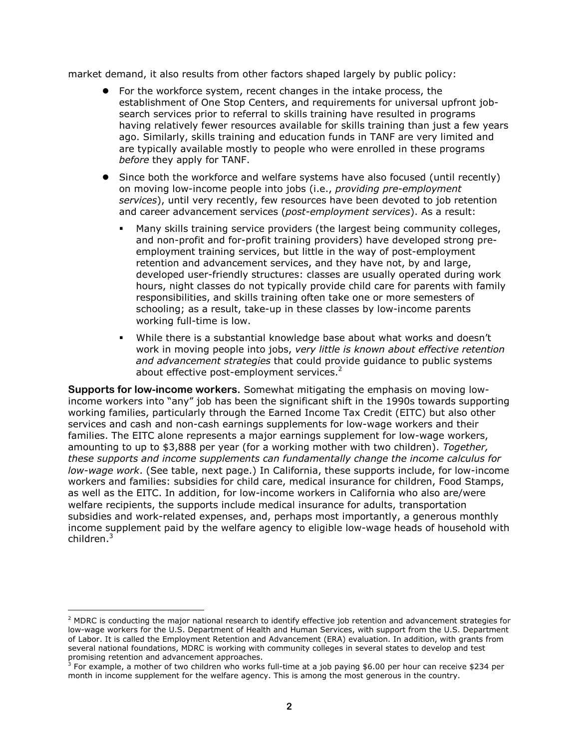market demand, it also results from other factors shaped largely by public policy:

- -For the workforce system, recent changes in the intake process, the establishment of One Stop Centers, and requirements for universal upfront jobsearch services prior to referral to skills training have resulted in programs having relatively fewer resources available for skills training than just a few years ago. Similarly, skills training and education funds in TANF are very limited and are typically available mostly to people who were enrolled in these programs *before* they apply for TANF.
- Since both the workforce and welfare systems have also focused (until recently) on moving low-income people into jobs (i.e., *providing pre-employment services*), until very recently, few resources have been devoted to job retention and career advancement services (*post-employment services*). As a result:
	- - Many skills training service providers (the largest being community colleges, and non-profit and for-profit training providers) have developed strong preemployment training services, but little in the way of post-employment retention and advancement services, and they have not, by and large, developed user-friendly structures: classes are usually operated during work hours, night classes do not typically provide child care for parents with family responsibilities, and skills training often take one or more semesters of schooling; as a result, take-up in these classes by low-income parents working full-time is low.
	- - While there is a substantial knowledge base about what works and doesn't work in moving people into jobs, *very little is known about effective retention and advancement strategies* that could provide guidance to public systems about effective post-employment services.<sup>2</sup>

**Supports for low-income workers.** Somewhat mitigating the emphasis on moving lowincome workers into "any" job has been the significant shift in the 1990s towards supporting working families, particularly through the Earned Income Tax Credit (EITC) but also other services and cash and non-cash earnings supplements for low-wage workers and their families. The EITC alone represents a major earnings supplement for low-wage workers, amounting to up to \$3,888 per year (for a working mother with two children). *Together, these supports and income supplements can fundamentally change the income calculus for low-wage work*. (See table, next page.) In California, these supports include, for low-income workers and families: subsidies for child care, medical insurance for children, Food Stamps, as well as the EITC. In addition, for low-income workers in California who also are/were welfare recipients, the supports include medical insurance for adults, transportation subsidies and work-related expenses, and, perhaps most importantly, a generous monthly income supplement paid by the welfare agency to eligible low-wage heads of household with children. $^3$ 

 $\overline{a}$ 

<sup>&</sup>lt;sup>2</sup> MDRC is conducting the major national research to identify effective job retention and advancement strategies for low-wage workers for the U.S. Department of Health and Human Services, with support from the U.S. Department of Labor. It is called the Employment Retention and Advancement (ERA) evaluation. In addition, with grants from several national foundations, MDRC is working with community colleges in several states to develop and test

promising retention and advancement approaches.<br><sup>3</sup> For example, a mother of two children who works full-time at a job paying \$6.00 per hour can receive \$234 per month in income supplement for the welfare agency. This is among the most generous in the country.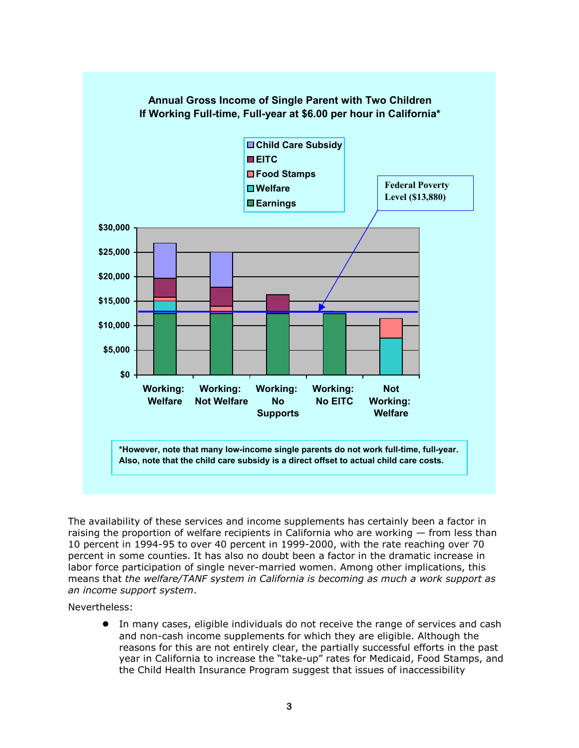

The availability of these services and income supplements has certainly been a factor in raising the proportion of welfare recipients in California who are working — from less than 10 percent in 1994-95 to over 40 percent in 1999-2000, with the rate reaching over 70 percent in some counties. It has also no doubt been a factor in the dramatic increase in labor force participation of single never-married women. Among other implications, this means that *the welfare/TANF system in California is becoming as much a work support as an income support system*.

Nevertheless:

-In many cases, eligible individuals do not receive the range of services and cash and non-cash income supplements for which they are eligible. Although the reasons for this are not entirely clear, the partially successful efforts in the past year in California to increase the "take-up" rates for Medicaid, Food Stamps, and the Child Health Insurance Program suggest that issues of inaccessibility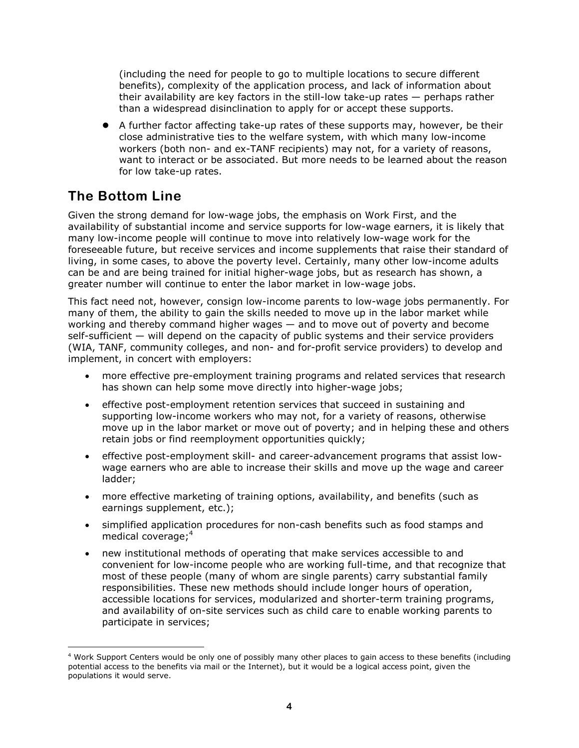(including the need for people to go to multiple locations to secure different benefits), complexity of the application process, and lack of information about their availability are key factors in the still-low take-up rates — perhaps rather than a widespread disinclination to apply for or accept these supports.

-A further factor affecting take-up rates of these supports may, however, be their close administrative ties to the welfare system, with which many low-income workers (both non- and ex-TANF recipients) may not, for a variety of reasons, want to interact or be associated. But more needs to be learned about the reason for low take-up rates.

## **The Bottom Line**

Given the strong demand for low-wage jobs, the emphasis on Work First, and the availability of substantial income and service supports for low-wage earners, it is likely that many low-income people will continue to move into relatively low-wage work for the foreseeable future, but receive services and income supplements that raise their standard of living, in some cases, to above the poverty level. Certainly, many other low-income adults can be and are being trained for initial higher-wage jobs, but as research has shown, a greater number will continue to enter the labor market in low-wage jobs.

This fact need not, however, consign low-income parents to low-wage jobs permanently. For many of them, the ability to gain the skills needed to move up in the labor market while working and thereby command higher wages — and to move out of poverty and become self-sufficient — will depend on the capacity of public systems and their service providers (WIA, TANF, community colleges, and non- and for-profit service providers) to develop and implement, in concert with employers:

- more effective pre-employment training programs and related services that research has shown can help some move directly into higher-wage jobs;
- effective post-employment retention services that succeed in sustaining and supporting low-income workers who may not, for a variety of reasons, otherwise move up in the labor market or move out of poverty; and in helping these and others retain jobs or find reemployment opportunities quickly;
- $\bullet$  effective post-employment skill- and career-advancement programs that assist lowwage earners who are able to increase their skills and move up the wage and career ladder;
- more effective marketing of training options, availability, and benefits (such as earnings supplement, etc.);
- simplified application procedures for non-cash benefits such as food stamps and medical coverage; $4$
- new institutional methods of operating that make services accessible to and convenient for low-income people who are working full-time, and that recognize that most of these people (many of whom are single parents) carry substantial family responsibilities. These new methods should include longer hours of operation, accessible locations for services, modularized and shorter-term training programs, and availability of on-site services such as child care to enable working parents to participate in services;

 $\overline{a}$ 4 Work Support Centers would be only one of possibly many other places to gain access to these benefits (including potential access to the benefits via mail or the Internet), but it would be a logical access point, given the populations it would serve.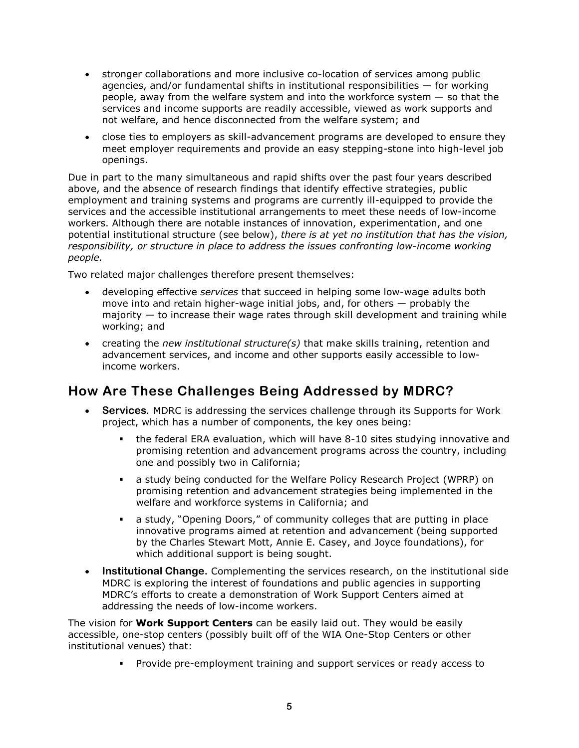- stronger collaborations and more inclusive co-location of services among public agencies, and/or fundamental shifts in institutional responsibilities — for working people, away from the welfare system and into the workforce system — so that the services and income supports are readily accessible, viewed as work supports and not welfare, and hence disconnected from the welfare system; and
- close ties to employers as skill-advancement programs are developed to ensure they meet employer requirements and provide an easy stepping-stone into high-level job openings.

Due in part to the many simultaneous and rapid shifts over the past four years described above, and the absence of research findings that identify effective strategies, public employment and training systems and programs are currently ill-equipped to provide the services and the accessible institutional arrangements to meet these needs of low-income workers. Although there are notable instances of innovation, experimentation, and one potential institutional structure (see below), *there is at yet no institution that has the vision, responsibility, or structure in place to address the issues confronting low-income working people.* 

Two related major challenges therefore present themselves:

- developing effective *services* that succeed in helping some low-wage adults both move into and retain higher-wage initial jobs, and, for others — probably the majority — to increase their wage rates through skill development and training while working; and
- creating the *new institutional structure(s)* that make skills training, retention and advancement services, and income and other supports easily accessible to lowincome workers.

## **How Are These Challenges Being Addressed by MDRC?**

- - **Services***.* MDRC is addressing the services challenge through its Supports for Work project, which has a number of components, the key ones being:
	- the federal ERA evaluation, which will have 8-10 sites studying innovative and promising retention and advancement programs across the country, including one and possibly two in California;
	- a study being conducted for the Welfare Policy Research Project (WPRP) on promising retention and advancement strategies being implemented in the welfare and workforce systems in California; and
	- a study, "Opening Doors," of community colleges that are putting in place innovative programs aimed at retention and advancement (being supported by the Charles Stewart Mott, Annie E. Casey, and Joyce foundations), for which additional support is being sought.
- $\bullet$  **Institutional Change.** Complementing the services research, on the institutional side MDRC is exploring the interest of foundations and public agencies in supporting MDRC's efforts to create a demonstration of Work Support Centers aimed at addressing the needs of low-income workers.

The vision for **Work Support Centers** can be easily laid out. They would be easily accessible, one-stop centers (possibly built off of the WIA One-Stop Centers or other institutional venues) that:

- Provide pre-employment training and support services or ready access to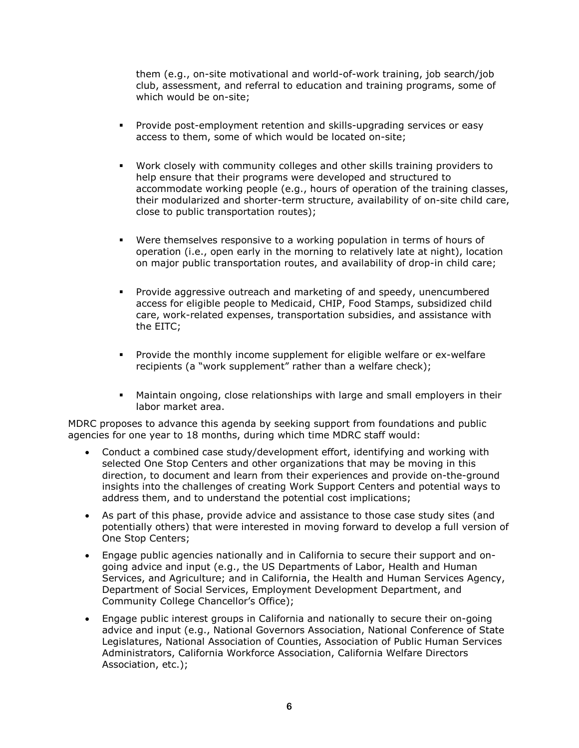them (e.g., on-site motivational and world-of-work training, job search/job club, assessment, and referral to education and training programs, some of which would be on-site;

- - Provide post-employment retention and skills-upgrading services or easy access to them, some of which would be located on-site;
- - Work closely with community colleges and other skills training providers to help ensure that their programs were developed and structured to accommodate working people (e.g., hours of operation of the training classes, their modularized and shorter-term structure, availability of on-site child care, close to public transportation routes);
- - Were themselves responsive to a working population in terms of hours of operation (i.e., open early in the morning to relatively late at night), location on major public transportation routes, and availability of drop-in child care;
- - Provide aggressive outreach and marketing of and speedy, unencumbered access for eligible people to Medicaid, CHIP, Food Stamps, subsidized child care, work-related expenses, transportation subsidies, and assistance with the EITC;
- - Provide the monthly income supplement for eligible welfare or ex-welfare recipients (a "work supplement" rather than a welfare check);
- - Maintain ongoing, close relationships with large and small employers in their labor market area.

MDRC proposes to advance this agenda by seeking support from foundations and public agencies for one year to 18 months, during which time MDRC staff would:

- $\bullet$  Conduct a combined case study/development effort, identifying and working with selected One Stop Centers and other organizations that may be moving in this direction, to document and learn from their experiences and provide on-the-ground insights into the challenges of creating Work Support Centers and potential ways to address them, and to understand the potential cost implications;
- As part of this phase, provide advice and assistance to those case study sites (and potentially others) that were interested in moving forward to develop a full version of One Stop Centers;
- - Engage public agencies nationally and in California to secure their support and ongoing advice and input (e.g., the US Departments of Labor, Health and Human Services, and Agriculture; and in California, the Health and Human Services Agency, Department of Social Services, Employment Development Department, and Community College Chancellor's Office);
- Engage public interest groups in California and nationally to secure their on-going advice and input (e.g., National Governors Association, National Conference of State Legislatures, National Association of Counties, Association of Public Human Services Administrators, California Workforce Association, California Welfare Directors Association, etc.);